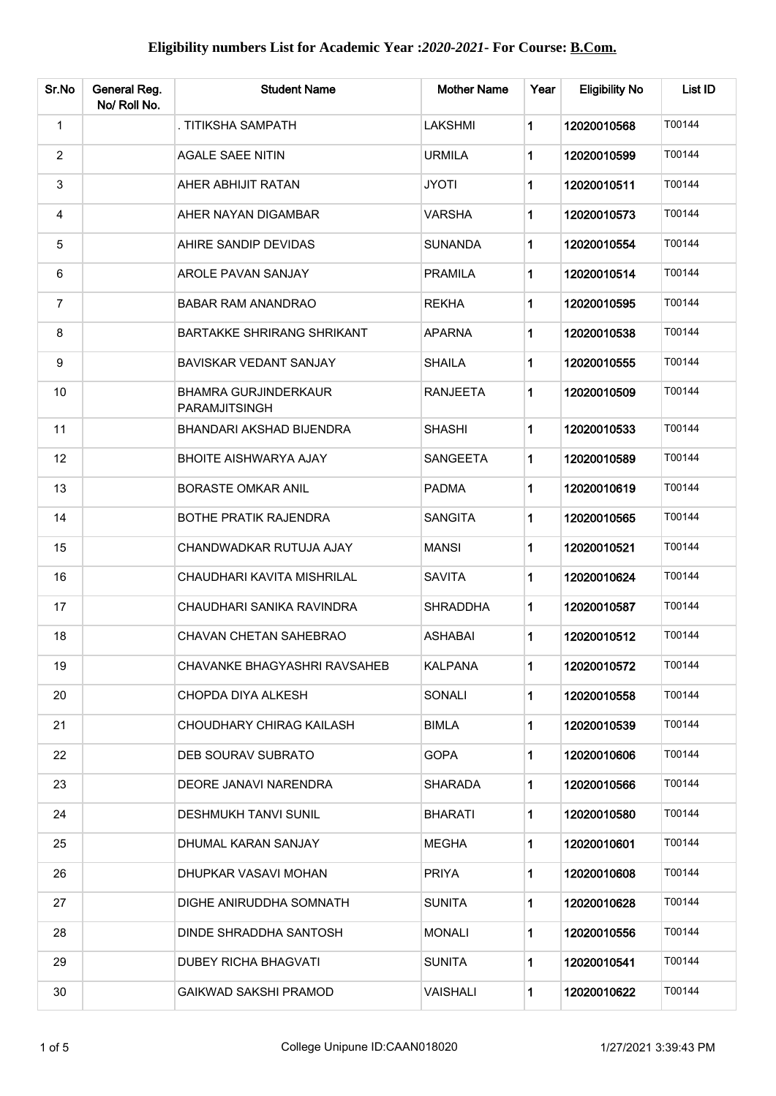| Sr.No          | General Reg.<br>No/ Roll No. | <b>Student Name</b>                          | <b>Mother Name</b> | Year        | <b>Eligibility No</b> | List ID |
|----------------|------------------------------|----------------------------------------------|--------------------|-------------|-----------------------|---------|
| $\mathbf{1}$   |                              | . TITIKSHA SAMPATH                           | LAKSHMI            | $\mathbf 1$ | 12020010568           | T00144  |
| $\overline{2}$ |                              | <b>AGALE SAEE NITIN</b>                      | <b>URMILA</b>      | 1           | 12020010599           | T00144  |
| 3              |                              | AHER ABHIJIT RATAN                           | <b>JYOTI</b>       | 1           | 12020010511           | T00144  |
| 4              |                              | AHER NAYAN DIGAMBAR                          | VARSHA             | 1           | 12020010573           | T00144  |
| $\overline{5}$ |                              | AHIRE SANDIP DEVIDAS                         | <b>SUNANDA</b>     | 1           | 12020010554           | T00144  |
| 6              |                              | AROLE PAVAN SANJAY                           | <b>PRAMILA</b>     | 1           | 12020010514           | T00144  |
| $\overline{7}$ |                              | <b>BABAR RAM ANANDRAO</b>                    | <b>REKHA</b>       | 1           | 12020010595           | T00144  |
| 8              |                              | <b>BARTAKKE SHRIRANG SHRIKANT</b>            | <b>APARNA</b>      | 1           | 12020010538           | T00144  |
| 9              |                              | <b>BAVISKAR VEDANT SANJAY</b>                | <b>SHAILA</b>      | 1           | 12020010555           | T00144  |
| 10             |                              | <b>BHAMRA GURJINDERKAUR</b><br>PARAMJITSINGH | <b>RANJEETA</b>    | 1           | 12020010509           | T00144  |
| 11             |                              | BHANDARI AKSHAD BIJENDRA                     | <b>SHASHI</b>      | 1           | 12020010533           | T00144  |
| 12             |                              | <b>BHOITE AISHWARYA AJAY</b>                 | <b>SANGEETA</b>    | 1           | 12020010589           | T00144  |
| 13             |                              | <b>BORASTE OMKAR ANIL</b>                    | <b>PADMA</b>       | 1           | 12020010619           | T00144  |
| 14             |                              | <b>BOTHE PRATIK RAJENDRA</b>                 | <b>SANGITA</b>     | 1           | 12020010565           | T00144  |
| 15             |                              | CHANDWADKAR RUTUJA AJAY                      | <b>MANSI</b>       | 1           | 12020010521           | T00144  |
| 16             |                              | CHAUDHARI KAVITA MISHRILAL                   | <b>SAVITA</b>      | 1           | 12020010624           | T00144  |
| 17             |                              | CHAUDHARI SANIKA RAVINDRA                    | <b>SHRADDHA</b>    | 1           | 12020010587           | T00144  |
| 18             |                              | <b>CHAVAN CHETAN SAHEBRAO</b>                | <b>ASHABAI</b>     | 1           | 12020010512           | T00144  |
| 19             |                              | CHAVANKE BHAGYASHRI RAVSAHEB                 | <b>KALPANA</b>     | 1           | 12020010572           | T00144  |
| 20             |                              | CHOPDA DIYA ALKESH                           | SONALI             | $\mathbf 1$ | 12020010558           | T00144  |
| 21             |                              | CHOUDHARY CHIRAG KAILASH                     | <b>BIMLA</b>       | 1           | 12020010539           | T00144  |
| 22             |                              | DEB SOURAV SUBRATO                           | <b>GOPA</b>        | 1           | 12020010606           | T00144  |
| 23             |                              | DEORE JANAVI NARENDRA                        | <b>SHARADA</b>     | 1           | 12020010566           | T00144  |
| 24             |                              | <b>DESHMUKH TANVI SUNIL</b>                  | <b>BHARATI</b>     | 1           | 12020010580           | T00144  |
| 25             |                              | DHUMAL KARAN SANJAY                          | <b>MEGHA</b>       | 1           | 12020010601           | T00144  |
| 26             |                              | DHUPKAR VASAVI MOHAN                         | <b>PRIYA</b>       | 1           | 12020010608           | T00144  |
| 27             |                              | DIGHE ANIRUDDHA SOMNATH                      | <b>SUNITA</b>      | 1           | 12020010628           | T00144  |
| 28             |                              | DINDE SHRADDHA SANTOSH                       | <b>MONALI</b>      | 1           | 12020010556           | T00144  |
| 29             |                              | <b>DUBEY RICHA BHAGVATI</b>                  | <b>SUNITA</b>      | $\mathbf 1$ | 12020010541           | T00144  |
| 30             |                              | <b>GAIKWAD SAKSHI PRAMOD</b>                 | VAISHALI           | 1           | 12020010622           | T00144  |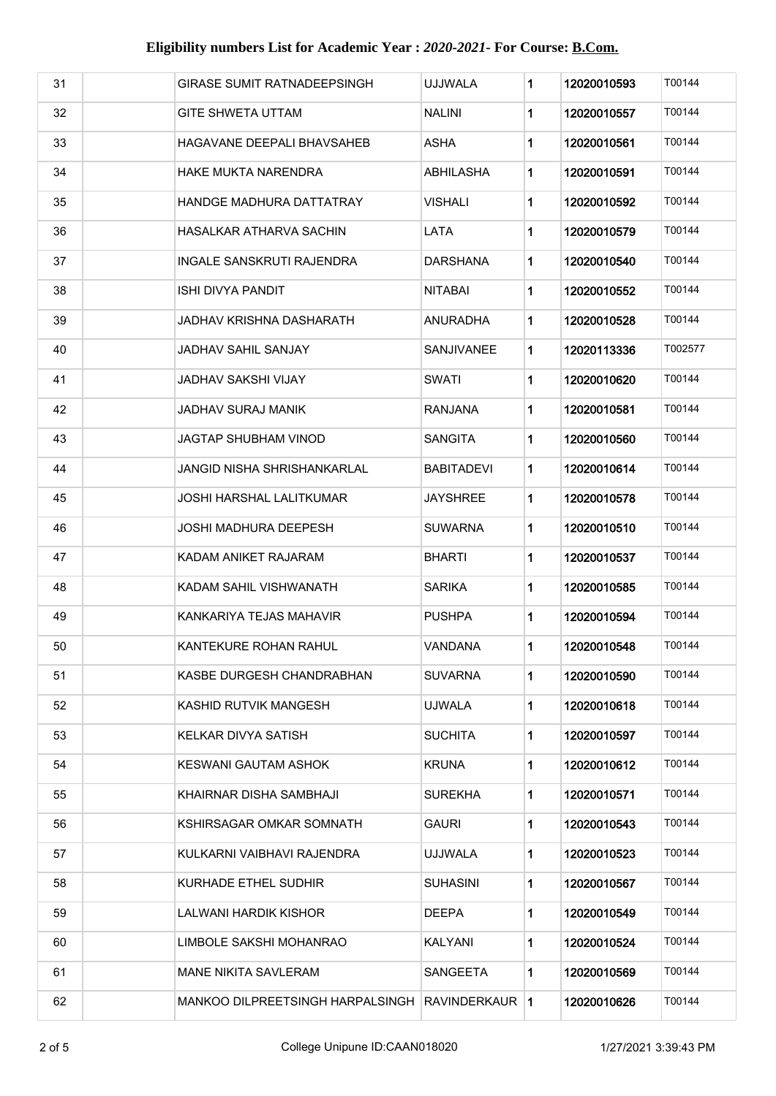| 31 | GIRASE SUMIT RATNADEEPSINGH      | UJJWALA         | 1 | 12020010593 | T00144  |
|----|----------------------------------|-----------------|---|-------------|---------|
| 32 | <b>GITE SHWETA UTTAM</b>         | <b>NALINI</b>   | 1 | 12020010557 | T00144  |
| 33 | HAGAVANE DEEPALI BHAVSAHEB       | ASHA            | 1 | 12020010561 | T00144  |
| 34 | HAKE MUKTA NARENDRA              | ABHILASHA       | 1 | 12020010591 | T00144  |
| 35 | HANDGE MADHURA DATTATRAY         | VISHALI         | 1 | 12020010592 | T00144  |
| 36 | HASALKAR ATHARVA SACHIN          | LATA            | 1 | 12020010579 | T00144  |
| 37 | INGALE SANSKRUTI RAJENDRA        | <b>DARSHANA</b> | 1 | 12020010540 | T00144  |
| 38 | ISHI DIVYA PANDIT                | NITABAI         | 1 | 12020010552 | T00144  |
| 39 | JADHAV KRISHNA DASHARATH         | ANURADHA        | 1 | 12020010528 | T00144  |
| 40 | JADHAV SAHIL SANJAY              | SANJIVANEE      | 1 | 12020113336 | T002577 |
| 41 | <b>JADHAV SAKSHI VIJAY</b>       | <b>SWATI</b>    | 1 | 12020010620 | T00144  |
| 42 | <b>JADHAV SURAJ MANIK</b>        | RANJANA         | 1 | 12020010581 | T00144  |
| 43 | JAGTAP SHUBHAM VINOD             | <b>SANGITA</b>  | 1 | 12020010560 | T00144  |
| 44 | JANGID NISHA SHRISHANKARLAL      | BABITADEVI      | 1 | 12020010614 | T00144  |
| 45 | JOSHI HARSHAL LALITKUMAR         | JAYSHREE        | 1 | 12020010578 | T00144  |
| 46 | JOSHI MADHURA DEEPESH            | SUWARNA         | 1 | 12020010510 | T00144  |
| 47 | KADAM ANIKET RAJARAM             | <b>BHARTI</b>   | 1 | 12020010537 | T00144  |
| 48 | KADAM SAHIL VISHWANATH           | <b>SARIKA</b>   | 1 | 12020010585 | T00144  |
| 49 | KANKARIYA TEJAS MAHAVIR          | <b>PUSHPA</b>   | 1 | 12020010594 | T00144  |
| 50 | KANTEKURE ROHAN RAHUL            | VANDANA         | 1 | 12020010548 | T00144  |
| 51 | KASBE DURGESH CHANDRABHAN        | SUVARNA         | 1 | 12020010590 | T00144  |
| 52 | KASHID RUTVIK MANGESH            | <b>UJWALA</b>   | 1 | 12020010618 | T00144  |
| 53 | KELKAR DIVYA SATISH              | <b>SUCHITA</b>  | 1 | 12020010597 | T00144  |
| 54 | KESWANI GAUTAM ASHOK             | <b>KRUNA</b>    | 1 | 12020010612 | T00144  |
| 55 | KHAIRNAR DISHA SAMBHAJI          | SUREKHA         | 1 | 12020010571 | T00144  |
| 56 | KSHIRSAGAR OMKAR SOMNATH         | GAURI           | 1 | 12020010543 | T00144  |
| 57 | KULKARNI VAIBHAVI RAJENDRA       | <b>UJJWALA</b>  | 1 | 12020010523 | T00144  |
| 58 | KURHADE ETHEL SUDHIR             | <b>SUHASINI</b> | 1 | 12020010567 | T00144  |
| 59 | LALWANI HARDIK KISHOR            | DEEPA           | 1 | 12020010549 | T00144  |
| 60 | LIMBOLE SAKSHI MOHANRAO          | KALYANI         | 1 | 12020010524 | T00144  |
| 61 | MANE NIKITA SAVLERAM             | <b>SANGEETA</b> | 1 | 12020010569 | T00144  |
| 62 | MANKOO DILPREETSINGH HARPALSINGH | RAVINDERKAUR 1  |   | 12020010626 | T00144  |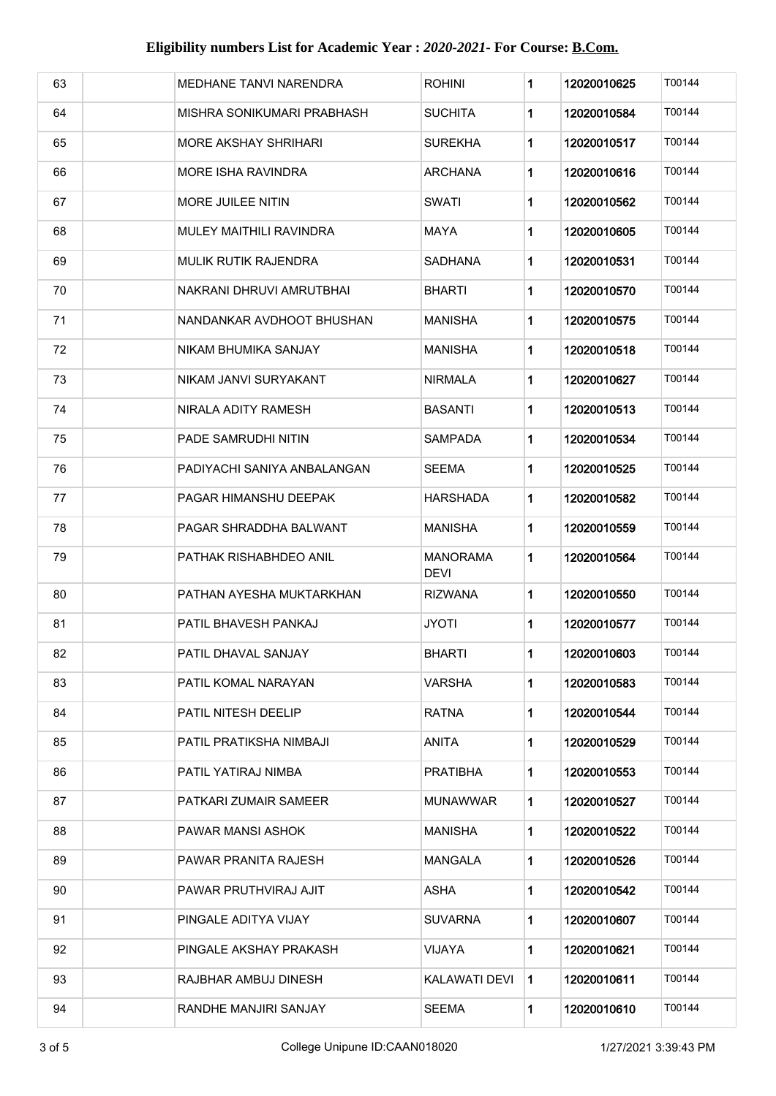| 63 | MEDHANE TANVI NARENDRA         | <b>ROHINI</b>                  | 1 | 12020010625 | T00144 |
|----|--------------------------------|--------------------------------|---|-------------|--------|
| 64 | MISHRA SONIKUMARI PRABHASH     | <b>SUCHITA</b>                 | 1 | 12020010584 | T00144 |
| 65 | <b>MORE AKSHAY SHRIHARI</b>    | <b>SUREKHA</b>                 | 1 | 12020010517 | T00144 |
| 66 | <b>MORE ISHA RAVINDRA</b>      | <b>ARCHANA</b>                 | 1 | 12020010616 | T00144 |
| 67 | <b>MORE JUILEE NITIN</b>       | SWATI                          | 1 | 12020010562 | T00144 |
| 68 | <b>MULEY MAITHILI RAVINDRA</b> | MAYA                           | 1 | 12020010605 | T00144 |
| 69 | MULIK RUTIK RAJENDRA           | <b>SADHANA</b>                 | 1 | 12020010531 | T00144 |
| 70 | NAKRANI DHRUVI AMRUTBHAI       | <b>BHARTI</b>                  | 1 | 12020010570 | T00144 |
| 71 | NANDANKAR AVDHOOT BHUSHAN      | MANISHA                        | 1 | 12020010575 | T00144 |
| 72 | NIKAM BHUMIKA SANJAY           | <b>MANISHA</b>                 | 1 | 12020010518 | T00144 |
| 73 | NIKAM JANVI SURYAKANT          | <b>NIRMALA</b>                 | 1 | 12020010627 | T00144 |
| 74 | NIRALA ADITY RAMESH            | BASANTI                        | 1 | 12020010513 | T00144 |
| 75 | PADE SAMRUDHI NITIN            | <b>SAMPADA</b>                 | 1 | 12020010534 | T00144 |
| 76 | PADIYACHI SANIYA ANBALANGAN    | <b>SEEMA</b>                   | 1 | 12020010525 | T00144 |
| 77 | PAGAR HIMANSHU DEEPAK          | HARSHADA                       | 1 | 12020010582 | T00144 |
| 78 | PAGAR SHRADDHA BALWANT         | <b>MANISHA</b>                 | 1 | 12020010559 | T00144 |
| 79 | PATHAK RISHABHDEO ANIL         | <b>MANORAMA</b><br><b>DEVI</b> | 1 | 12020010564 | T00144 |
| 80 | PATHAN AYESHA MUKTARKHAN       | <b>RIZWANA</b>                 | 1 | 12020010550 | T00144 |
| 81 | PATIL BHAVESH PANKAJ           | <b>JYOTI</b>                   | 1 | 12020010577 | T00144 |
| 82 | PATIL DHAVAL SANJAY            | <b>BHARTI</b>                  | 1 | 12020010603 | T00144 |
| 83 | PATIL KOMAL NARAYAN            | <b>VARSHA</b>                  | 1 | 12020010583 | T00144 |
| 84 | PATIL NITESH DEELIP            | <b>RATNA</b>                   | 1 | 12020010544 | T00144 |
| 85 | PATIL PRATIKSHA NIMBAJI        | ANITA                          | 1 | 12020010529 | T00144 |
| 86 | PATIL YATIRAJ NIMBA            | <b>PRATIBHA</b>                | 1 | 12020010553 | T00144 |
| 87 | PATKARI ZUMAIR SAMEER          | <b>MUNAWWAR</b>                | 1 | 12020010527 | T00144 |
| 88 | PAWAR MANSI ASHOK              | <b>MANISHA</b>                 | 1 | 12020010522 | T00144 |
| 89 | PAWAR PRANITA RAJESH           | MANGALA                        | 1 | 12020010526 | T00144 |
| 90 | PAWAR PRUTHVIRAJ AJIT          | ASHA                           | 1 | 12020010542 | T00144 |
| 91 | PINGALE ADITYA VIJAY           | <b>SUVARNA</b>                 | 1 | 12020010607 | T00144 |
| 92 | PINGALE AKSHAY PRAKASH         | VIJAYA                         | 1 | 12020010621 | T00144 |
| 93 | RAJBHAR AMBUJ DINESH           | KALAWATI DEVI                  | 1 | 12020010611 | T00144 |
| 94 | RANDHE MANJIRI SANJAY          | <b>SEEMA</b>                   | 1 | 12020010610 | T00144 |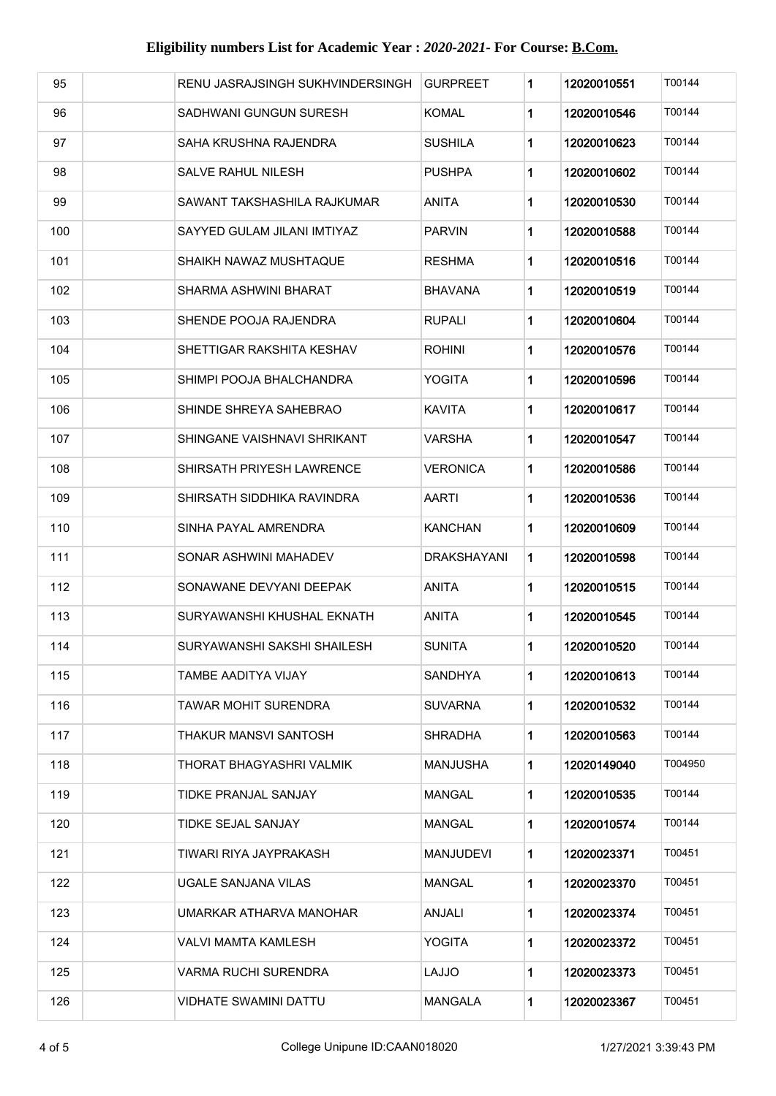| 95  | RENU JASRAJSINGH SUKHVINDERSINGH | <b>GURPREET</b> | 1 | 12020010551 | T00144  |
|-----|----------------------------------|-----------------|---|-------------|---------|
| 96  | SADHWANI GUNGUN SURESH           | <b>KOMAL</b>    | 1 | 12020010546 | T00144  |
| 97  | SAHA KRUSHNA RAJENDRA            | <b>SUSHILA</b>  | 1 | 12020010623 | T00144  |
| 98  | SALVE RAHUL NILESH               | PUSHPA          | 1 | 12020010602 | T00144  |
| 99  | SAWANT TAKSHASHILA RAJKUMAR      | ANITA           | 1 | 12020010530 | T00144  |
| 100 | SAYYED GULAM JILANI IMTIYAZ      | <b>PARVIN</b>   | 1 | 12020010588 | T00144  |
| 101 | SHAIKH NAWAZ MUSHTAQUE           | <b>RESHMA</b>   | 1 | 12020010516 | T00144  |
| 102 | SHARMA ASHWINI BHARAT            | BHAVANA         | 1 | 12020010519 | T00144  |
| 103 | SHENDE POOJA RAJENDRA            | <b>RUPALI</b>   | 1 | 12020010604 | T00144  |
| 104 | SHETTIGAR RAKSHITA KESHAV        | <b>ROHINI</b>   | 1 | 12020010576 | T00144  |
| 105 | SHIMPI POOJA BHALCHANDRA         | YOGITA          | 1 | 12020010596 | T00144  |
| 106 | SHINDE SHREYA SAHEBRAO           | <b>KAVITA</b>   | 1 | 12020010617 | T00144  |
| 107 | SHINGANE VAISHNAVI SHRIKANT      | VARSHA          | 1 | 12020010547 | T00144  |
| 108 | SHIRSATH PRIYESH LAWRENCE        | VERONICA        | 1 | 12020010586 | T00144  |
| 109 | SHIRSATH SIDDHIKA RAVINDRA       | AARTI           | 1 | 12020010536 | T00144  |
| 110 | SINHA PAYAL AMRENDRA             | KANCHAN         | 1 | 12020010609 | T00144  |
| 111 | SONAR ASHWINI MAHADEV            | DRAKSHAYANI     | 1 | 12020010598 | T00144  |
| 112 | SONAWANE DEVYANI DEEPAK          | <b>ANITA</b>    | 1 | 12020010515 | T00144  |
| 113 | SURYAWANSHI KHUSHAL EKNATH       | <b>ANITA</b>    | 1 | 12020010545 | T00144  |
| 114 | SURYAWANSHI SAKSHI SHAILESH      | <b>SUNITA</b>   | 1 | 12020010520 | T00144  |
| 115 | TAMBE AADITYA VIJAY              | SANDHYA         | 1 | 12020010613 | T00144  |
| 116 | TAWAR MOHIT SURENDRA             | <b>SUVARNA</b>  | 1 | 12020010532 | T00144  |
| 117 | THAKUR MANSVI SANTOSH            | SHRADHA         | 1 | 12020010563 | T00144  |
| 118 | THORAT BHAGYASHRI VALMIK         | <b>MANJUSHA</b> | 1 | 12020149040 | T004950 |
| 119 | TIDKE PRANJAL SANJAY             | <b>MANGAL</b>   | 1 | 12020010535 | T00144  |
| 120 | TIDKE SEJAL SANJAY               | <b>MANGAL</b>   | 1 | 12020010574 | T00144  |
| 121 | TIWARI RIYA JAYPRAKASH           | MANJUDEVI       | 1 | 12020023371 | T00451  |
| 122 | UGALE SANJANA VILAS              | <b>MANGAL</b>   | 1 | 12020023370 | T00451  |
| 123 | UMARKAR ATHARVA MANOHAR          | ANJALI          | 1 | 12020023374 | T00451  |
| 124 | VALVI MAMTA KAMLESH              | YOGITA          | 1 | 12020023372 | T00451  |
| 125 | <b>VARMA RUCHI SURENDRA</b>      | <b>LAJJO</b>    | 1 | 12020023373 | T00451  |
| 126 | <b>VIDHATE SWAMINI DATTU</b>     | MANGALA         | 1 | 12020023367 | T00451  |